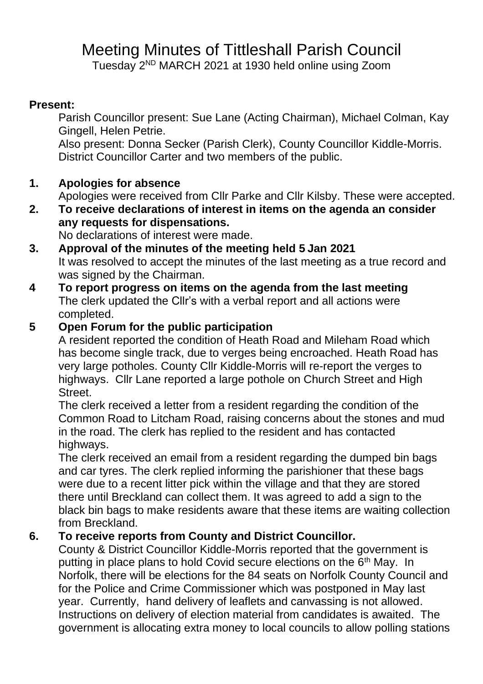# Meeting Minutes of Tittleshall Parish Council

Tuesday 2<sup>ND</sup> MARCH 2021 at 1930 held online using Zoom

### **Present:**

Parish Councillor present: Sue Lane (Acting Chairman), Michael Colman, Kay Gingell, Helen Petrie.

Also present: Donna Secker (Parish Clerk), County Councillor Kiddle-Morris. District Councillor Carter and two members of the public.

# **1. Apologies for absence**

Apologies were received from Cllr Parke and Cllr Kilsby. These were accepted.

**2. To receive declarations of interest in items on the agenda an consider any requests for dispensations.** 

No declarations of interest were made.

- **3. Approval of the minutes of the meeting held 5 Jan 2021** It was resolved to accept the minutes of the last meeting as a true record and was signed by the Chairman.
- **4 To report progress on items on the agenda from the last meeting** The clerk updated the Cllr's with a verbal report and all actions were completed.

# **5 Open Forum for the public participation**

A resident reported the condition of Heath Road and Mileham Road which has become single track, due to verges being encroached. Heath Road has very large potholes. County Cllr Kiddle-Morris will re-report the verges to highways. Cllr Lane reported a large pothole on Church Street and High Street.

The clerk received a letter from a resident regarding the condition of the Common Road to Litcham Road, raising concerns about the stones and mud in the road. The clerk has replied to the resident and has contacted highways.

The clerk received an email from a resident regarding the dumped bin bags and car tyres. The clerk replied informing the parishioner that these bags were due to a recent litter pick within the village and that they are stored there until Breckland can collect them. It was agreed to add a sign to the black bin bags to make residents aware that these items are waiting collection from Breckland.

### **6. To receive reports from County and District Councillor.**

County & District Councillor Kiddle-Morris reported that the government is putting in place plans to hold Covid secure elections on the  $6<sup>th</sup>$  May. In Norfolk, there will be elections for the 84 seats on Norfolk County Council and for the Police and Crime Commissioner which was postponed in May last year. Currently, hand delivery of leaflets and canvassing is not allowed. Instructions on delivery of election material from candidates is awaited. The government is allocating extra money to local councils to allow polling stations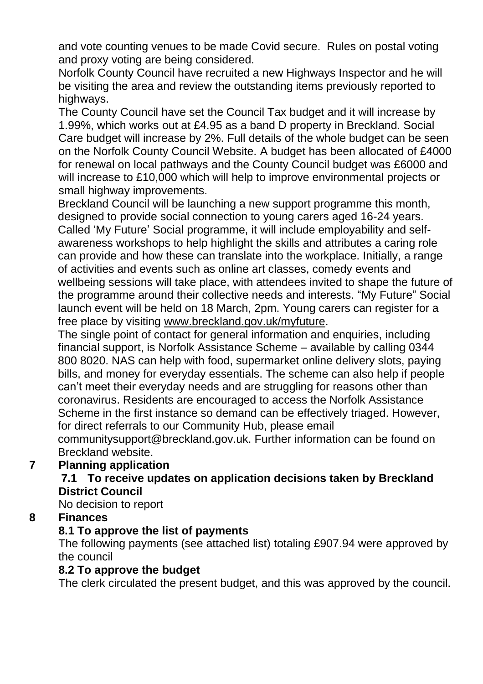and vote counting venues to be made Covid secure. Rules on postal voting and proxy voting are being considered.

Norfolk County Council have recruited a new Highways Inspector and he will be visiting the area and review the outstanding items previously reported to highways.

The County Council have set the Council Tax budget and it will increase by 1.99%, which works out at £4.95 as a band D property in Breckland. Social Care budget will increase by 2%. Full details of the whole budget can be seen on the Norfolk County Council Website. A budget has been allocated of £4000 for renewal on local pathways and the County Council budget was £6000 and will increase to £10,000 which will help to improve environmental projects or small highway improvements.

Breckland Council will be launching a new support programme this month, designed to provide social connection to young carers aged 16-24 years. Called 'My Future' Social programme, it will include employability and selfawareness workshops to help highlight the skills and attributes a caring role can provide and how these can translate into the workplace. Initially, a range of activities and events such as online art classes, comedy events and wellbeing sessions will take place, with attendees invited to shape the future of the programme around their collective needs and interests. "My Future" Social launch event will be held on 18 March, 2pm. Young carers can register for a free place by visiting [www.breckland.gov.uk/myfuture.](http://www.breckland.gov.uk/myfuture)

The single point of contact for general information and enquiries, including financial support, is Norfolk Assistance Scheme – available by calling 0344 800 8020. NAS can help with food, supermarket online delivery slots, paying bills, and money for everyday essentials. The scheme can also help if people can't meet their everyday needs and are struggling for reasons other than coronavirus. Residents are encouraged to access the Norfolk Assistance Scheme in the first instance so demand can be effectively triaged. However, for direct referrals to our Community Hub, please email

communitysupport@breckland.gov.uk. Further information can be found on Breckland website.

### **7 Planning application**

#### **7.1 To receive updates on application decisions taken by Breckland District Council**

No decision to report

### **8 Finances**

### **8.1 To approve the list of payments**

The following payments (see attached list) totaling £907.94 were approved by the council

### **8.2 To approve the budget**

The clerk circulated the present budget, and this was approved by the council.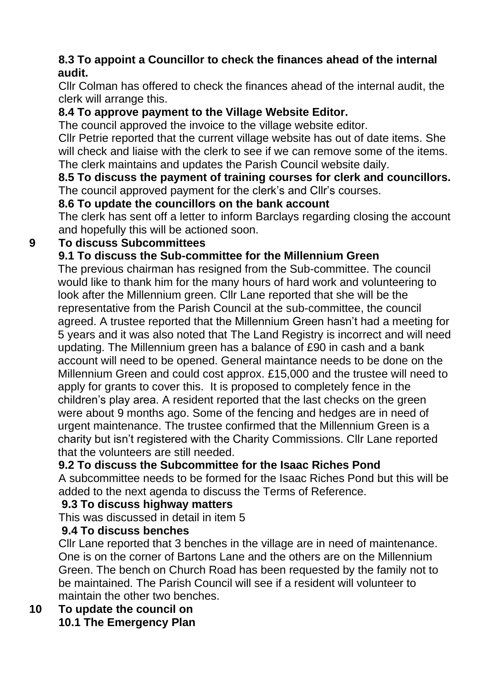### **8.3 To appoint a Councillor to check the finances ahead of the internal audit.**

Cllr Colman has offered to check the finances ahead of the internal audit, the clerk will arrange this.

# **8.4 To approve payment to the Village Website Editor.**

The council approved the invoice to the village website editor.

Cllr Petrie reported that the current village website has out of date items. She will check and liaise with the clerk to see if we can remove some of the items. The clerk maintains and updates the Parish Council website daily.

**8.5 To discuss the payment of training courses for clerk and councillors.**  The council approved payment for the clerk's and Cllr's courses.

### **8.6 To update the councillors on the bank account**

The clerk has sent off a letter to inform Barclays regarding closing the account and hopefully this will be actioned soon.

# **9 To discuss Subcommittees**

# **9.1 To discuss the Sub-committee for the Millennium Green**

The previous chairman has resigned from the Sub-committee. The council would like to thank him for the many hours of hard work and volunteering to look after the Millennium green. Cllr Lane reported that she will be the representative from the Parish Council at the sub-committee, the council agreed. A trustee reported that the Millennium Green hasn't had a meeting for 5 years and it was also noted that The Land Registry is incorrect and will need updating. The Millennium green has a balance of £90 in cash and a bank account will need to be opened. General maintance needs to be done on the Millennium Green and could cost approx. £15,000 and the trustee will need to apply for grants to cover this. It is proposed to completely fence in the children's play area. A resident reported that the last checks on the green were about 9 months ago. Some of the fencing and hedges are in need of urgent maintenance. The trustee confirmed that the Millennium Green is a charity but isn't registered with the Charity Commissions. Cllr Lane reported that the volunteers are still needed.

# **9.2 To discuss the Subcommittee for the Isaac Riches Pond**

A subcommittee needs to be formed for the Isaac Riches Pond but this will be added to the next agenda to discuss the Terms of Reference.

### **9.3 To discuss highway matters**

This was discussed in detail in item 5

### **9.4 To discuss benches**

Cllr Lane reported that 3 benches in the village are in need of maintenance. One is on the corner of Bartons Lane and the others are on the Millennium Green. The bench on Church Road has been requested by the family not to be maintained. The Parish Council will see if a resident will volunteer to maintain the other two benches.

### **10 To update the council on 10.1 The Emergency Plan**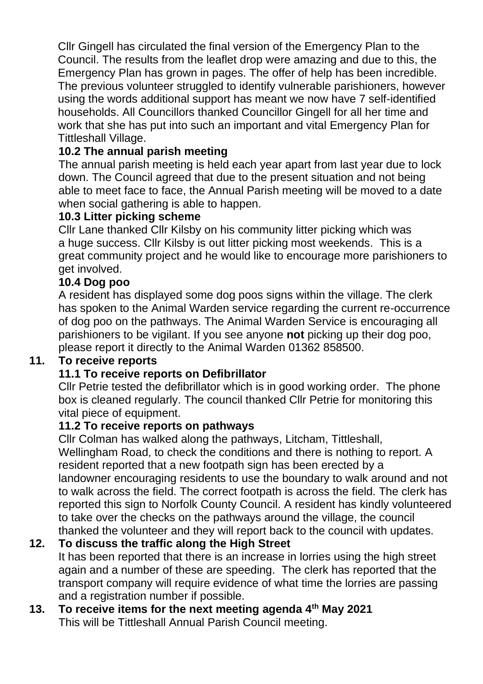Cllr Gingell has circulated the final version of the Emergency Plan to the Council. The results from the leaflet drop were amazing and due to this, the Emergency Plan has grown in pages. The offer of help has been incredible. The previous volunteer struggled to identify vulnerable parishioners, however using the words additional support has meant we now have 7 self-identified households. All Councillors thanked Councillor Gingell for all her time and work that she has put into such an important and vital Emergency Plan for Tittleshall Village.

# **10.2 The annual parish meeting**

The annual parish meeting is held each year apart from last year due to lock down. The Council agreed that due to the present situation and not being able to meet face to face, the Annual Parish meeting will be moved to a date when social gathering is able to happen.

### **10.3 Litter picking scheme**

Cllr Lane thanked Cllr Kilsby on his community litter picking which was a huge success. Cllr Kilsby is out litter picking most weekends. This is a great community project and he would like to encourage more parishioners to get involved.

#### **10.4 Dog poo**

A resident has displayed some dog poos signs within the village. The clerk has spoken to the Animal Warden service regarding the current re-occurrence of dog poo on the pathways. The Animal Warden Service is encouraging all parishioners to be vigilant. If you see anyone **not** picking up their dog poo, please report it directly to the Animal Warden 01362 858500.

#### **11. To receive reports**

### **11.1 To receive reports on Defibrillator**

Cllr Petrie tested the defibrillator which is in good working order. The phone box is cleaned regularly. The council thanked Cllr Petrie for monitoring this vital piece of equipment.

#### **11.2 To receive reports on pathways**

Cllr Colman has walked along the pathways, Litcham, Tittleshall, Wellingham Road, to check the conditions and there is nothing to report. A resident reported that a new footpath sign has been erected by a landowner encouraging residents to use the boundary to walk around and not to walk across the field. The correct footpath is across the field. The clerk has reported this sign to Norfolk County Council. A resident has kindly volunteered to take over the checks on the pathways around the village, the council thanked the volunteer and they will report back to the council with updates.

### **12. To discuss the traffic along the High Street**

It has been reported that there is an increase in lorries using the high street again and a number of these are speeding. The clerk has reported that the transport company will require evidence of what time the lorries are passing and a registration number if possible.

#### **13. To receive items for the next meeting agenda 4th May 2021** This will be Tittleshall Annual Parish Council meeting.